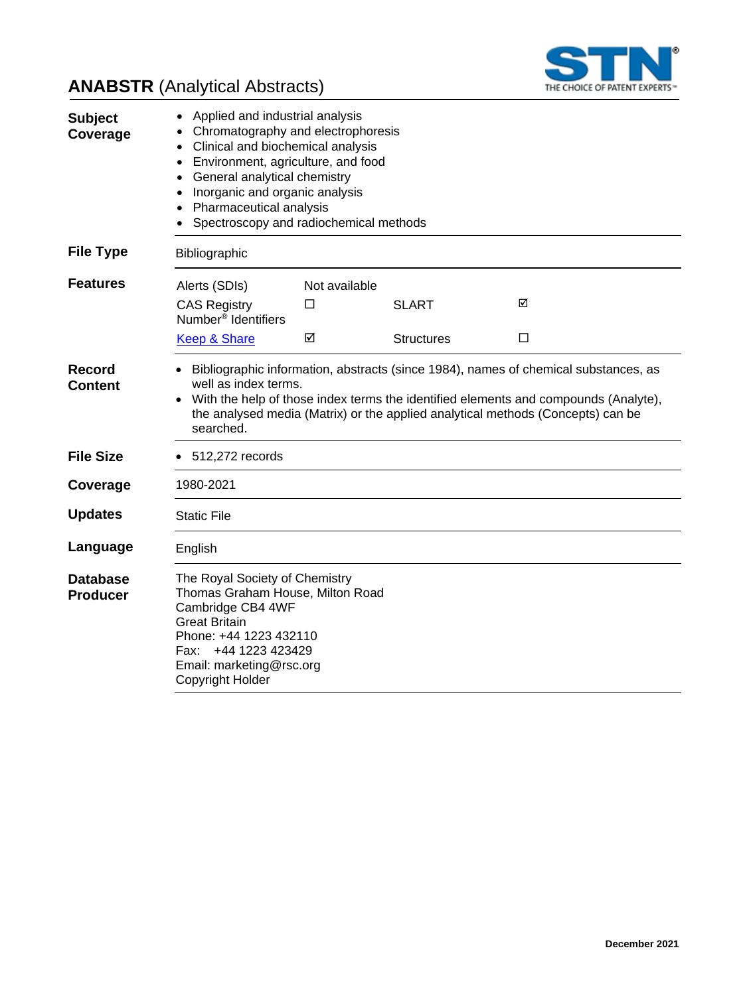

# **ANABSTR** (Analytical Abstracts)

| <b>Subject</b><br>Coverage         | Applied and industrial analysis<br>Chromatography and electrophoresis<br>Clinical and biochemical analysis<br>Environment, agriculture, and food<br>$\bullet$<br>General analytical chemistry<br>Inorganic and organic analysis<br>Pharmaceutical analysis<br>Spectroscopy and radiochemical methods |               |                   |   |  |
|------------------------------------|------------------------------------------------------------------------------------------------------------------------------------------------------------------------------------------------------------------------------------------------------------------------------------------------------|---------------|-------------------|---|--|
| <b>File Type</b>                   | Bibliographic                                                                                                                                                                                                                                                                                        |               |                   |   |  |
| <b>Features</b>                    | Alerts (SDIs)                                                                                                                                                                                                                                                                                        | Not available |                   |   |  |
|                                    | <b>CAS Registry</b><br>Number <sup>®</sup> Identifiers                                                                                                                                                                                                                                               | □             | <b>SLART</b>      | ☑ |  |
|                                    | <b>Keep &amp; Share</b>                                                                                                                                                                                                                                                                              | ☑             | <b>Structures</b> | □ |  |
| Record<br>Content                  | Bibliographic information, abstracts (since 1984), names of chemical substances, as<br>well as index terms.<br>With the help of those index terms the identified elements and compounds (Analyte),<br>the analysed media (Matrix) or the applied analytical methods (Concepts) can be<br>searched.   |               |                   |   |  |
| <b>File Size</b>                   | $\bullet$ 512,272 records                                                                                                                                                                                                                                                                            |               |                   |   |  |
| Coverage                           | 1980-2021                                                                                                                                                                                                                                                                                            |               |                   |   |  |
| <b>Updates</b>                     | <b>Static File</b>                                                                                                                                                                                                                                                                                   |               |                   |   |  |
| Language                           | English                                                                                                                                                                                                                                                                                              |               |                   |   |  |
| <b>Database</b><br><b>Producer</b> | The Royal Society of Chemistry<br>Thomas Graham House, Milton Road<br>Cambridge CB4 4WF<br><b>Great Britain</b><br>Phone: +44 1223 432110<br>+44 1223 423429<br>Fax: l<br>Email: marketing@rsc.org<br>Copyright Holder                                                                               |               |                   |   |  |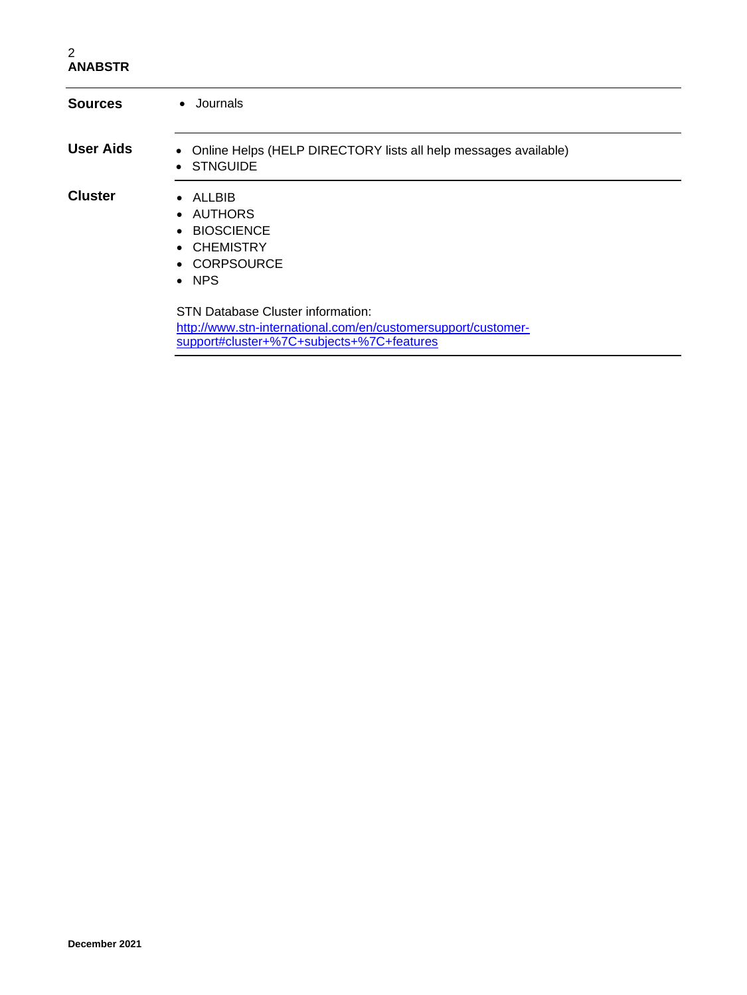### 2 **ANABSTR**

| <b>Sources</b>   | • Journals                                                                                                |  |  |
|------------------|-----------------------------------------------------------------------------------------------------------|--|--|
| <b>User Aids</b> | • Online Helps (HELP DIRECTORY lists all help messages available)<br>• STNGUIDE                           |  |  |
| <b>Cluster</b>   | $\bullet$ ALLBIB<br>• AUTHORS<br>• BIOSCIENCE<br>• CHEMISTRY<br>• CORPSOURCE<br>$\bullet$ NPS             |  |  |
|                  | <b>STN Database Cluster information:</b><br>http://www.stn-international.com/en/customersupport/customer- |  |  |

[support#cluster+%7C+subjects+%7C+features](http://www.stn-international.com/en/customersupport/customer-support#cluster+%7C+subjects+%7C+features)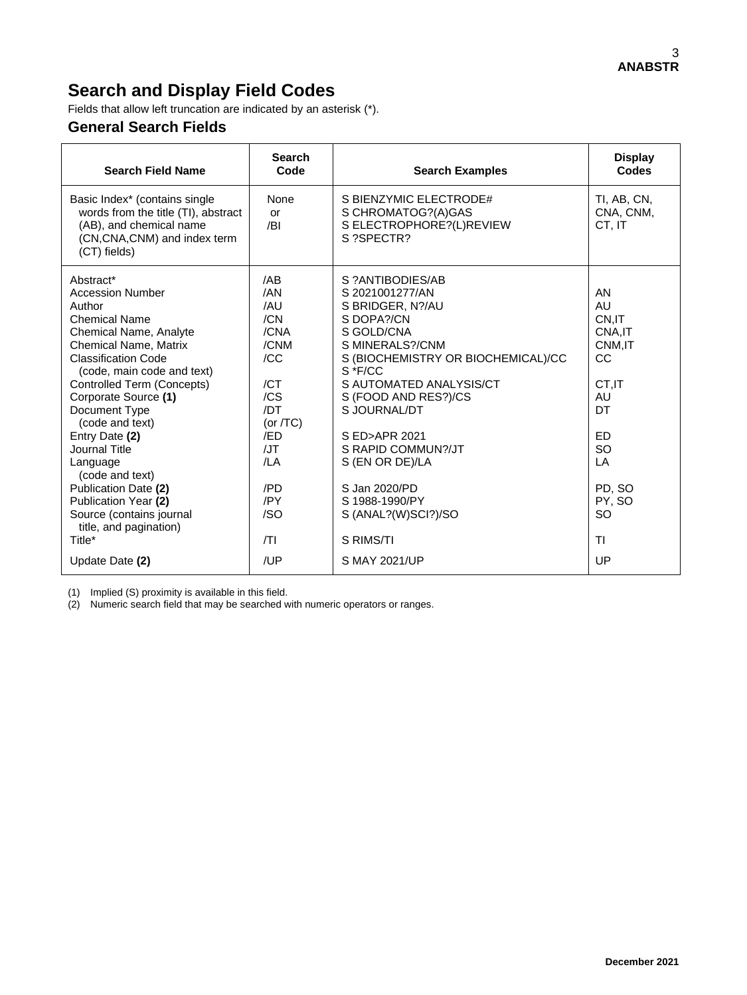# **Search and Display Field Codes**

Fields that allow left truncation are indicated by an asterisk (\*).

### **General Search Fields**

| <b>Search Field Name</b>                                                                                                                                                                                                                                                                                                                                                  | <b>Search</b><br>Code                                                                                           | <b>Search Examples</b>                                                                                                                                                                                                                                                                                   | <b>Display</b><br><b>Codes</b>                                                                                     |
|---------------------------------------------------------------------------------------------------------------------------------------------------------------------------------------------------------------------------------------------------------------------------------------------------------------------------------------------------------------------------|-----------------------------------------------------------------------------------------------------------------|----------------------------------------------------------------------------------------------------------------------------------------------------------------------------------------------------------------------------------------------------------------------------------------------------------|--------------------------------------------------------------------------------------------------------------------|
| Basic Index* (contains single<br>words from the title (TI), abstract<br>(AB), and chemical name<br>(CN, CNA, CNM) and index term<br>(CT) fields)                                                                                                                                                                                                                          | None<br>or<br>/BI                                                                                               | S BIENZYMIC ELECTRODE#<br>S CHROMATOG?(A)GAS<br>S ELECTROPHORE?(L)REVIEW<br>S ?SPECTR?                                                                                                                                                                                                                   | TI, AB, CN,<br>CNA, CNM,<br>CT. IT                                                                                 |
| Abstract*<br><b>Accession Number</b><br>Author<br><b>Chemical Name</b><br>Chemical Name, Analyte<br>Chemical Name, Matrix<br><b>Classification Code</b><br>(code, main code and text)<br>Controlled Term (Concepts)<br>Corporate Source (1)<br>Document Type<br>(code and text)<br>Entry Date (2)<br>Journal Title<br>Language<br>(code and text)<br>Publication Date (2) | /AB<br>/AN<br>/AU<br>/CN<br>/CNA<br>/CNM<br>/CC<br>/CT<br>/CS<br>/DT<br>(or $/TC$ )<br>/ED<br>/JT<br>/LA<br>/PD | S ?ANTIBODIES/AB<br>S 2021001277/AN<br>S BRIDGER, N?/AU<br>S DOPA?/CN<br>S GOLD/CNA<br>S MINERALS?/CNM<br>S (BIOCHEMISTRY OR BIOCHEMICAL)/CC<br>$S * F/CC$<br>S AUTOMATED ANALYSIS/CT<br>S (FOOD AND RES?)/CS<br>S JOURNAL/DT<br>S ED>APR 2021<br>S RAPID COMMUN?/JT<br>S (EN OR DE)/LA<br>S Jan 2020/PD | AN<br>AU<br>CN.IT<br>CNA, IT<br>CNM.IT<br>CC<br>CT.IT<br>AU<br><b>DT</b><br><b>ED</b><br><b>SO</b><br>LA<br>PD. SO |
| Publication Year (2)<br>Source (contains journal<br>title, and pagination)                                                                                                                                                                                                                                                                                                | /PY<br>/SO                                                                                                      | S 1988-1990/PY<br>S (ANAL?(W)SCI?)/SO                                                                                                                                                                                                                                                                    | PY, SO<br><b>SO</b>                                                                                                |
| Title*<br>Update Date (2)                                                                                                                                                                                                                                                                                                                                                 | T <br>/UP                                                                                                       | S RIMS/TI<br>S MAY 2021/UP                                                                                                                                                                                                                                                                               | <b>TI</b><br>UP                                                                                                    |

(1) Implied (S) proximity is available in this field.

(2) Numeric search field that may be searched with numeric operators or ranges.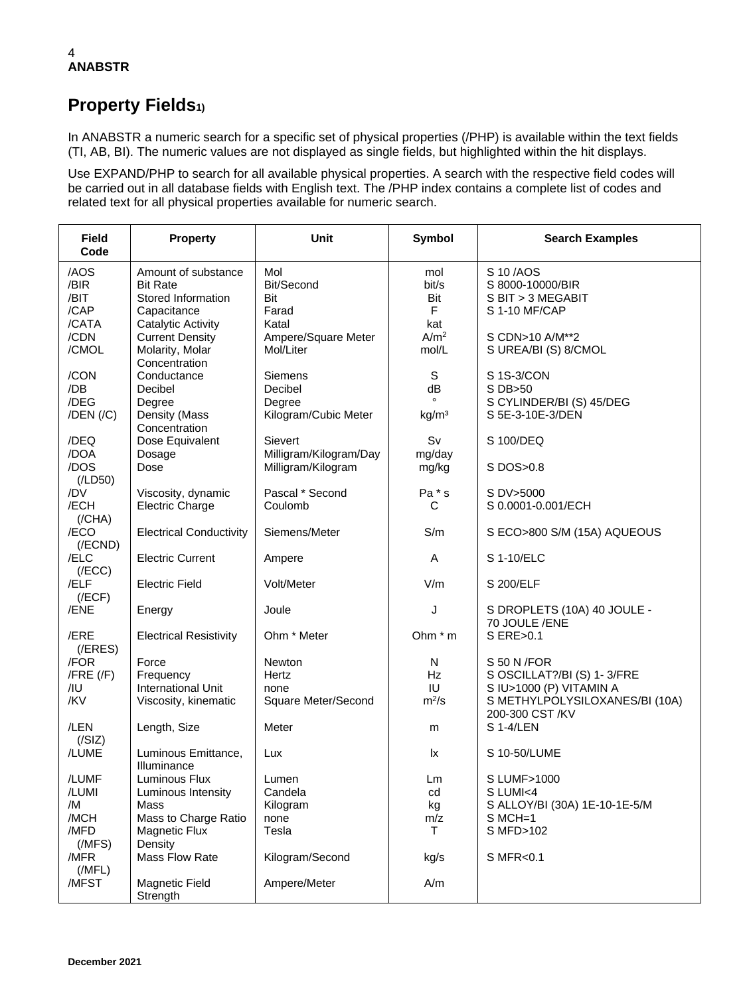### 4 **ANABSTR**

## **Property Fields1)**

In ANABSTR a numeric search for a specific set of physical properties (/PHP) is available within the text fields (TI, AB, BI). The numeric values are not displayed as single fields, but highlighted within the hit displays.

Use EXPAND/PHP to search for all available physical properties. A search with the respective field codes will be carried out in all database fields with English text. The /PHP index contains a complete list of codes and related text for all physical properties available for numeric search.

| <b>Field</b><br>Code                          | <b>Property</b>                                                                                          | <b>Unit</b>                                             | <b>Symbol</b>                             | <b>Search Examples</b>                                                                                                     |
|-----------------------------------------------|----------------------------------------------------------------------------------------------------------|---------------------------------------------------------|-------------------------------------------|----------------------------------------------------------------------------------------------------------------------------|
| /AOS<br>/BIR<br>/BIT<br>/CAP<br>/CATA         | Amount of substance<br><b>Bit Rate</b><br>Stored Information<br>Capacitance<br><b>Catalytic Activity</b> | Mol<br>Bit/Second<br>Bit<br>Farad<br>Katal              | mol<br>bit/s<br>Bit<br>$\mathsf F$<br>kat | S 10/AOS<br>S 8000-10000/BIR<br>S BIT > 3 MEGABIT<br>S 1-10 MF/CAP                                                         |
| /CDN<br>/CMOL                                 | <b>Current Density</b><br>Molarity, Molar<br>Concentration                                               | Ampere/Square Meter<br>Mol/Liter                        | A/m <sup>2</sup><br>mol/L                 | S CDN>10 A/M**2<br>S UREA/BI (S) 8/CMOL                                                                                    |
| /CON<br>/DB<br>/DEG<br>$/$ DEN $/$ $/$ C $)$  | Conductance<br>Decibel<br>Degree<br>Density (Mass<br>Concentration                                       | Siemens<br>Decibel<br>Degree<br>Kilogram/Cubic Meter    | S<br>dB<br>kg/m <sup>3</sup>              | S 1S-3/CON<br>S DB>50<br>S CYLINDER/BI (S) 45/DEG<br>S 5E-3-10E-3/DEN                                                      |
| /DEQ<br>/DOA<br>/DOS                          | Dose Equivalent<br>Dosage<br>Dose                                                                        | Sievert<br>Milligram/Kilogram/Day<br>Milligram/Kilogram | Sv<br>mg/day<br>mg/kg                     | S 100/DEQ<br>S DOS>0.8                                                                                                     |
| (ILD50)<br>/DV<br>/ECH<br>(/CHA)              | Viscosity, dynamic<br><b>Electric Charge</b>                                                             | Pascal * Second<br>Coulomb                              | Pa * s<br>С                               | S DV>5000<br>S 0.0001-0.001/ECH                                                                                            |
| /ECO<br>$($ /ECND $)$                         | <b>Electrical Conductivity</b>                                                                           | Siemens/Meter                                           | S/m                                       | S ECO>800 S/M (15A) AQUEOUS                                                                                                |
| /ELC<br>(/ECC)                                | <b>Electric Current</b>                                                                                  | Ampere                                                  | A                                         | S 1-10/ELC                                                                                                                 |
| /ELF<br>(/ECF)                                | <b>Electric Field</b>                                                                                    | Volt/Meter                                              | V/m                                       | S 200/ELF                                                                                                                  |
| /ENE                                          | Energy                                                                                                   | Joule                                                   | J                                         | S DROPLETS (10A) 40 JOULE -<br>70 JOULE /ENE                                                                               |
| /ERE<br>$($ /ERES $)$                         | <b>Electrical Resistivity</b>                                                                            | Ohm * Meter                                             | Ohm $*$ m                                 | S ERE>0.1                                                                                                                  |
| /FOR<br>$/$ FRE $/$ F $)$<br>/IU<br>/KV       | Force<br>Frequency<br><b>International Unit</b><br>Viscosity, kinematic                                  | <b>Newton</b><br>Hertz<br>none<br>Square Meter/Second   | N<br><b>Hz</b><br>IU<br>$m^2/s$           | S 50 N / FOR<br>S OSCILLAT?/BI (S) 1-3/FRE<br>S IU>1000 (P) VITAMIN A<br>S METHYLPOLYSILOXANES/BI (10A)<br>200-300 CST /KV |
| /LEN<br>(/SIZ)                                | Length, Size                                                                                             | Meter                                                   | m                                         | S 1-4/LEN                                                                                                                  |
| /LUME                                         | Luminous Emittance,<br>Illuminance                                                                       | Lux                                                     | lx                                        | S 10-50/LUME                                                                                                               |
| /LUMF<br>/LUMI<br>/M<br>/MCH<br>/MFD<br>(MFS) | Luminous Flux<br>Luminous Intensity<br>Mass<br>Mass to Charge Ratio<br><b>Magnetic Flux</b><br>Density   | Lumen<br>Candela<br>Kilogram<br>none<br>Tesla           | Lm<br>cd<br>kg<br>m/z<br>T.               | S LUMF>1000<br>S LUMI<4<br>S ALLOY/BI (30A) 1E-10-1E-5/M<br>$S$ MCH=1<br>S MFD>102                                         |
| /MFR<br>(MFL)<br>/MFST                        | Mass Flow Rate<br>Magnetic Field<br>Strength                                                             | Kilogram/Second<br>Ampere/Meter                         | kg/s<br>A/m                               | S MFR<0.1                                                                                                                  |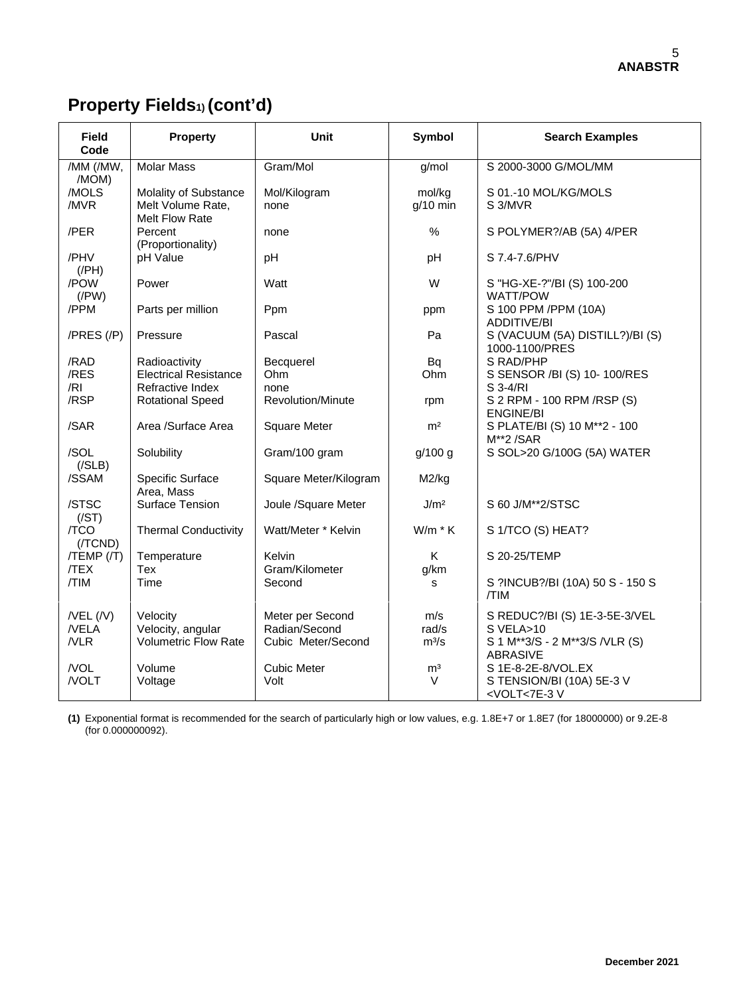# **Property Fields1) (cont'd)**

| <b>Field</b><br>Code                | <b>Property</b>                                              | Unit                                                    | <b>Symbol</b>           | <b>Search Examples</b>                                                                                  |
|-------------------------------------|--------------------------------------------------------------|---------------------------------------------------------|-------------------------|---------------------------------------------------------------------------------------------------------|
| /MM (/MW,<br>/MOM)                  | <b>Molar Mass</b>                                            | Gram/Mol                                                | g/mol                   | S 2000-3000 G/MOL/MM                                                                                    |
| /MOLS<br>/MVR                       | Molality of Substance<br>Melt Volume Rate,<br>Melt Flow Rate | Mol/Kilogram<br>none                                    | mol/kg<br>$q/10$ min    | S 01.-10 MOL/KG/MOLS<br>S 3/MVR                                                                         |
| /PER                                | Percent<br>(Proportionality)                                 | none                                                    | $\%$                    | S POLYMER?/AB (5A) 4/PER                                                                                |
| /PHV<br>$($ /PH $)$                 | pH Value                                                     | pH                                                      | pH                      | S 7.4-7.6/PHV                                                                                           |
| /POW<br>$($ /PW $)$                 | Power                                                        | Watt                                                    | W                       | S "HG-XE-?"/BI (S) 100-200<br>WATT/POW                                                                  |
| /PPM                                | Parts per million                                            | Ppm                                                     | ppm                     | S 100 PPM /PPM (10A)<br><b>ADDITIVE/BI</b>                                                              |
| $/PRES$ $//P)$                      | Pressure                                                     | Pascal                                                  | Pa                      | S (VACUUM (5A) DISTILL?)/BI (S)<br>1000-1100/PRES                                                       |
| /RAD                                | Radioactivity                                                | Becquerel                                               | <b>Bq</b>               | S RAD/PHP                                                                                               |
| /RES                                | <b>Electrical Resistance</b>                                 | Ohm                                                     | Ohm                     | S SENSOR /BI (S) 10-100/RES                                                                             |
| /RI                                 | Refractive Index                                             | none                                                    |                         | S 3-4/RI                                                                                                |
| /RSP                                | <b>Rotational Speed</b>                                      | Revolution/Minute                                       | rpm                     | S 2 RPM - 100 RPM / RSP (S)<br><b>ENGINE/BI</b>                                                         |
| /SAR                                | Area /Surface Area                                           | <b>Square Meter</b>                                     | m <sup>2</sup>          | S PLATE/BI (S) 10 M**2 - 100<br>M**2/SAR                                                                |
| /SOL<br>(/SLB)                      | Solubility                                                   | Gram/100 gram                                           | g/100 g                 | S SOL>20 G/100G (5A) WATER                                                                              |
| /SSAM                               | Specific Surface<br>Area, Mass                               | Square Meter/Kilogram                                   | M2/kg                   |                                                                                                         |
| /STSC<br>(/ST)                      | Surface Tension                                              | Joule /Square Meter                                     | J/m <sup>2</sup>        | S 60 J/M**2/STSC                                                                                        |
| /TCO<br>(/TCND)                     | <b>Thermal Conductivity</b>                                  | Watt/Meter * Kelvin                                     | $W/m * K$               | S 1/TCO (S) HEAT?                                                                                       |
| $/TEMP$ $//T)$<br>/TEX              | Temperature<br>Tex                                           | Kelvin<br>Gram/Kilometer                                | K<br>g/km               | S 20-25/TEMP                                                                                            |
| /TIM                                | Time                                                         | Second                                                  | s                       | S ?INCUB?/BI (10A) 50 S - 150 S<br>/TIM                                                                 |
| $/$ VEL $($ /V $)$<br>/VELA<br>/VLR | Velocity<br>Velocity, angular<br>Volumetric Flow Rate        | Meter per Second<br>Radian/Second<br>Cubic Meter/Second | m/s<br>rad/s<br>$m^3/s$ | S REDUC?/BI (S) 1E-3-5E-3/VEL<br>S VELA>10<br>S 1 M**3/S - 2 M**3/S /VLR (S)                            |
| /VOL<br>/VOLT                       | Volume<br>Voltage                                            | <b>Cubic Meter</b><br>Volt                              | m <sup>3</sup><br>V     | <b>ABRASIVE</b><br>S 1E-8-2E-8/VOL.EX<br>S TENSION/BI (10A) 5E-3 V<br><volt<7e-3v< td=""></volt<7e-3v<> |

**(1)** Exponential format is recommended for the search of particularly high or low values, e.g. 1.8E+7 or 1.8E7 (for 18000000) or 9.2E-8 (for 0.000000092).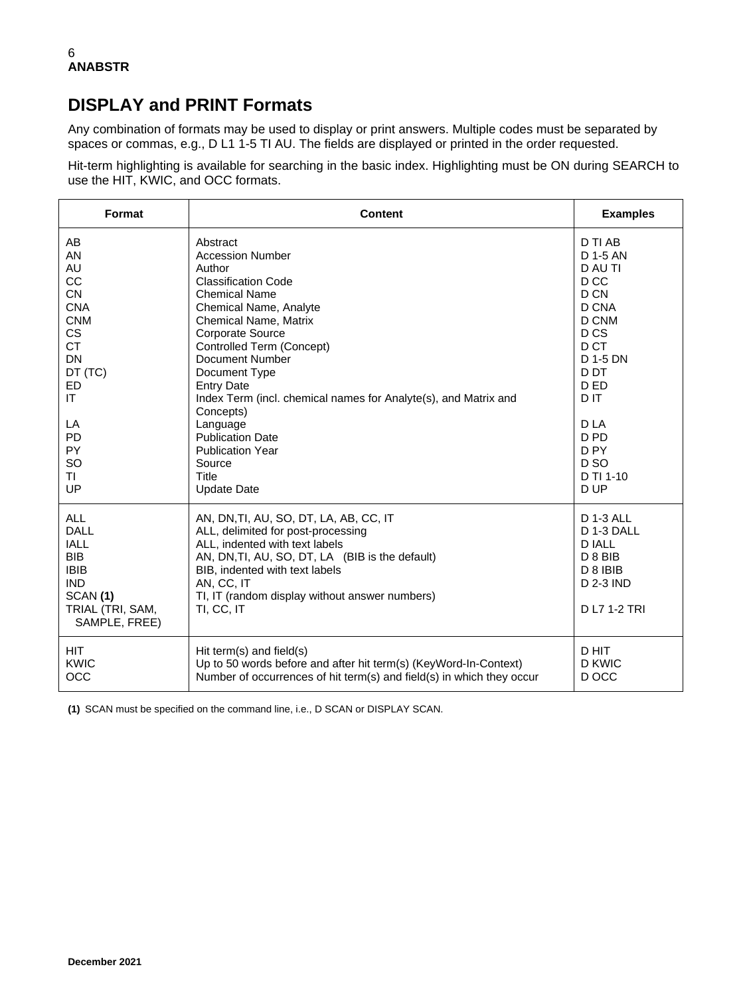## **DISPLAY and PRINT Formats**

Any combination of formats may be used to display or print answers. Multiple codes must be separated by spaces or commas, e.g., D L1 1-5 TI AU. The fields are displayed or printed in the order requested.

Hit-term highlighting is available for searching in the basic index. Highlighting must be ON during SEARCH to use the HIT, KWIC, and OCC formats.

| Format                                                                                                                                                                          | <b>Content</b>                                                                                                                                                                                                                                                                                                                                                                                                                                                            | <b>Examples</b>                                                                                                                                                                                                       |
|---------------------------------------------------------------------------------------------------------------------------------------------------------------------------------|---------------------------------------------------------------------------------------------------------------------------------------------------------------------------------------------------------------------------------------------------------------------------------------------------------------------------------------------------------------------------------------------------------------------------------------------------------------------------|-----------------------------------------------------------------------------------------------------------------------------------------------------------------------------------------------------------------------|
| AB<br>AN<br>AU<br>CC<br><b>CN</b><br><b>CNA</b><br><b>CNM</b><br>CS<br><b>CT</b><br><b>DN</b><br>DT (TC)<br>ED<br>IT.<br>LA<br><b>PD</b><br><b>PY</b><br><b>SO</b><br>TI.<br>UP | Abstract<br><b>Accession Number</b><br>Author<br><b>Classification Code</b><br><b>Chemical Name</b><br>Chemical Name, Analyte<br>Chemical Name, Matrix<br><b>Corporate Source</b><br>Controlled Term (Concept)<br><b>Document Number</b><br>Document Type<br><b>Entry Date</b><br>Index Term (incl. chemical names for Analyte(s), and Matrix and<br>Concepts)<br>Language<br><b>Publication Date</b><br><b>Publication Year</b><br>Source<br>Title<br><b>Update Date</b> | D TI AB<br>D 1-5 AN<br>D AU TI<br>D CC<br>D CN<br>D CNA<br>D CNM<br>D <sub>CS</sub><br>D CT<br>D 1-5 DN<br>D DT<br>D ED<br>D IT<br>D LA<br>D <sub>PD</sub><br>D <sub>PY</sub><br>D <sub>SO</sub><br>D TI 1-10<br>D UP |
| <b>ALL</b><br><b>DALL</b><br><b>IALL</b><br><b>BIB</b><br><b>IBIB</b><br><b>IND</b><br>SCAN(1)<br>TRIAL (TRI, SAM,<br>SAMPLE, FREE)                                             | AN, DN, TI, AU, SO, DT, LA, AB, CC, IT<br>ALL, delimited for post-processing<br>ALL, indented with text labels<br>AN, DN, TI, AU, SO, DT, LA (BIB is the default)<br>BIB, indented with text labels<br>AN, CC, IT<br>TI, IT (random display without answer numbers)<br>TI, CC, IT                                                                                                                                                                                         | <b>D 1-3 ALL</b><br>D 1-3 DALL<br><b>D IALL</b><br>D 8 BIB<br>D 8 IBIB<br>D 2-3 IND<br>D L7 1-2 TRI                                                                                                                   |
| <b>HIT</b><br><b>KWIC</b><br>OCC                                                                                                                                                | Hit term(s) and field(s)<br>Up to 50 words before and after hit term(s) (KeyWord-In-Context)<br>Number of occurrences of hit term(s) and field(s) in which they occur                                                                                                                                                                                                                                                                                                     | D HIT<br><b>D KWIC</b><br>D OCC                                                                                                                                                                                       |

**(1)** SCAN must be specified on the command line, i.e., D SCAN or DISPLAY SCAN.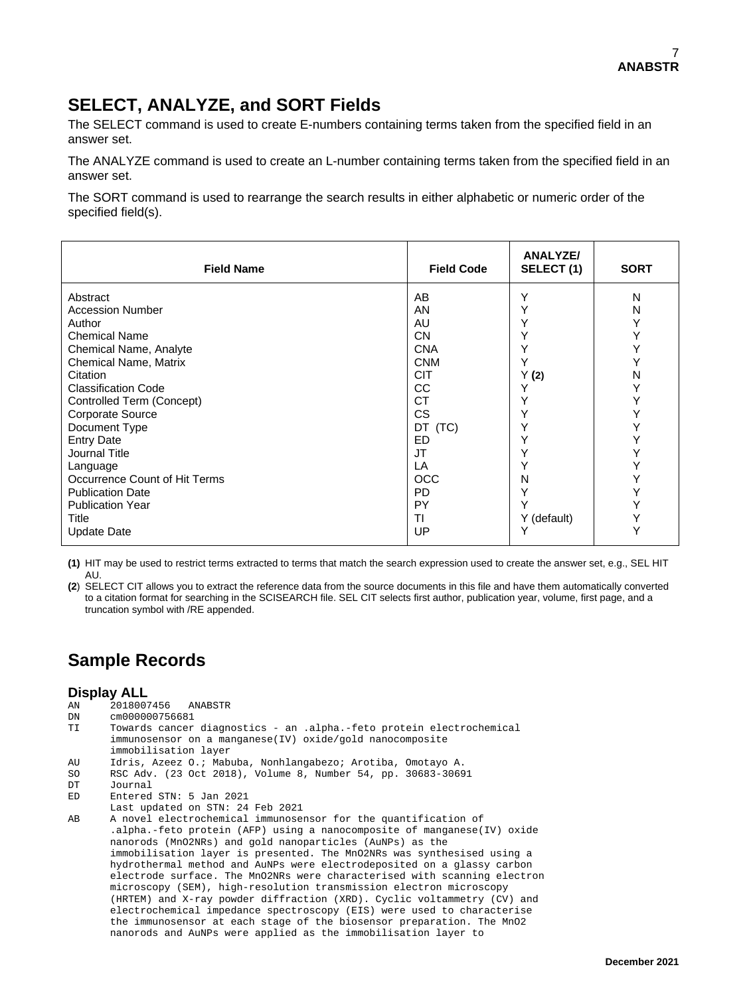## **SELECT, ANALYZE, and SORT Fields**

The SELECT command is used to create E-numbers containing terms taken from the specified field in an answer set.

The ANALYZE command is used to create an L-number containing terms taken from the specified field in an answer set.

The SORT command is used to rearrange the search results in either alphabetic or numeric order of the specified field(s).

| <b>Field Name</b>             | <b>Field Code</b> | <b>ANALYZE/</b><br>SELECT (1) | <b>SORT</b> |
|-------------------------------|-------------------|-------------------------------|-------------|
| Abstract                      | AB                | Υ                             | N           |
| <b>Accession Number</b>       | AN                |                               | N           |
| Author                        | AU                |                               | Y           |
| <b>Chemical Name</b>          | <b>CN</b>         |                               | Y           |
| Chemical Name, Analyte        | <b>CNA</b>        |                               | Υ           |
| Chemical Name, Matrix         | <b>CNM</b>        |                               |             |
| Citation                      | <b>CIT</b>        | Y(2)                          | N           |
| <b>Classification Code</b>    | СC                |                               | Y           |
| Controlled Term (Concept)     | СT                |                               | Y           |
| Corporate Source              | CS.               |                               | Υ           |
| Document Type                 | DT (TC)           |                               |             |
| <b>Entry Date</b>             | <b>ED</b>         |                               | Y           |
| Journal Title                 | JT                |                               | Y           |
| Language                      | LA                |                               | Y           |
| Occurrence Count of Hit Terms | <b>OCC</b>        | N                             | Υ           |
| <b>Publication Date</b>       | <b>PD</b>         | Υ                             |             |
| <b>Publication Year</b>       | PY                |                               | Y           |
| Title                         | ΤI                | Y (default)                   | Y           |
| <b>Update Date</b>            | UP                |                               | Y           |

**(1)** HIT may be used to restrict terms extracted to terms that match the search expression used to create the answer set, e.g., SEL HIT AU.

**(2**) SELECT CIT allows you to extract the reference data from the source documents in this file and have them automatically converted to a citation format for searching in the SCISEARCH file. SEL CIT selects first author, publication year, volume, first page, and a truncation symbol with /RE appended.

## **Sample Records**

# **Display ALL**<br><sup>2018007</sup>

AN 2018007456 ANABSTR

```
DN cm000000756681
       Towards cancer diagnostics - an .alpha.-feto protein electrochemical
        immunosensor on a manganese(IV) oxide/gold nanocomposite
immobilisation layer<br>AU Idris, Azeez O.; Mab
```
- Idris, Azeez O.; Mabuba, Nonhlangabezo; Arotiba, Omotayo A.
- SO RSC Adv. (23 Oct 2018), Volume 8, Number 54, pp. 30683-30691
- Journal
- ED Entered STN: 5 Jan 2021
- Last updated on STN: 24 Feb 2021<br>AB A novel electrochemical immunose
- A novel electrochemical immunosensor for the quantification of .alpha.-feto protein (AFP) using a nanocomposite of manganese(IV) oxide nanorods (MnO2NRs) and gold nanoparticles (AuNPs) as the immobilisation layer is presented. The MnO2NRs was synthesised using a hydrothermal method and AuNPs were electrodeposited on a glassy carbon electrode surface. The MnO2NRs were characterised with scanning electron microscopy (SEM), high-resolution transmission electron microscopy (HRTEM) and X-ray powder diffraction (XRD). Cyclic voltammetry (CV) and electrochemical impedance spectroscopy (EIS) were used to characterise the immunosensor at each stage of the biosensor preparation. The MnO2 nanorods and AuNPs were applied as the immobilisation layer to